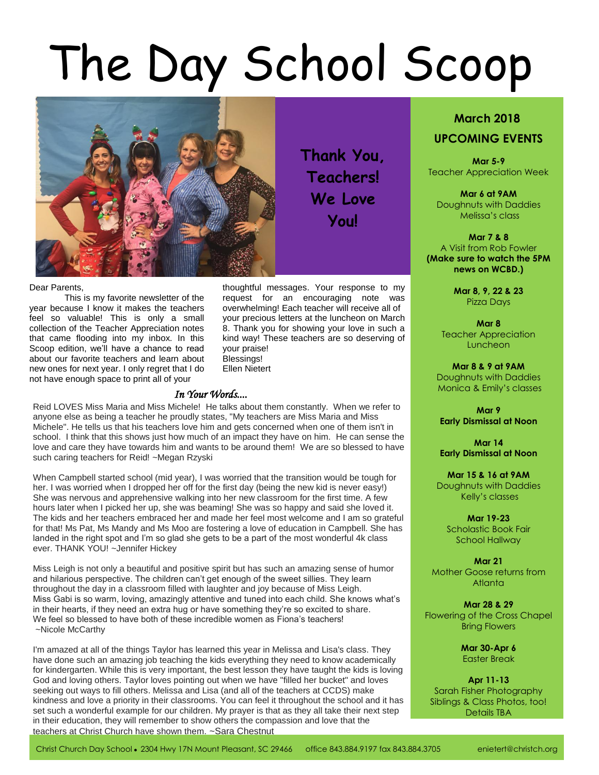# The Day School Scoop



**Thank You, Teachers! We Love You!**

## Dear Parents,

This is my favorite newsletter of the year because I know it makes the teachers feel so valuable! This is only a small collection of the Teacher Appreciation notes that came flooding into my inbox. In this Scoop edition, we'll have a chance to read about our favorite teachers and learn about new ones for next year. I only regret that I do not have enough space to print all of your

thoughtful messages. Your response to my request for an encouraging note was overwhelming! Each teacher will receive all of your precious letters at the luncheon on March 8. Thank you for showing your love in such a kind way! These teachers are so deserving of your praise! Blessings! Ellen Nietert

# *In Your Words....*

Reid LOVES Miss Maria and Miss Michele! He talks about them constantly. When we refer to anyone else as being a teacher he proudly states, "My teachers are Miss Maria and Miss Michele". He tells us that his teachers love him and gets concerned when one of them isn't in school. I think that this shows just how much of an impact they have on him. He can sense the love and care they have towards him and wants to be around them! We are so blessed to have such caring teachers for Reid! ~Megan Rzyski

When Campbell started school (mid year), I was worried that the transition would be tough for her. I was worried when I dropped her off for the first day (being the new kid is never easy!) She was nervous and apprehensive walking into her new classroom for the first time. A few hours later when I picked her up, she was beaming! She was so happy and said she loved it. The kids and her teachers embraced her and made her feel most welcome and I am so grateful for that! Ms Pat, Ms Mandy and Ms Moo are fostering a love of education in Campbell. She has landed in the right spot and I'm so glad she gets to be a part of the most wonderful 4k class ever. THANK YOU! ~Jennifer Hickey

Miss Leigh is not only a beautiful and positive spirit but has such an amazing sense of humor and hilarious perspective. The children can't get enough of the sweet sillies. They learn throughout the day in a classroom filled with laughter and joy because of Miss Leigh. Miss Gabi is so warm, loving, amazingly attentive and tuned into each child. She knows what's in their hearts, if they need an extra hug or have something they're so excited to share. We feel so blessed to have both of these incredible women as Fiona's teachers! ~Nicole McCarthy

I'm amazed at all of the things Taylor has learned this year in Melissa and Lisa's class. They have done such an amazing job teaching the kids everything they need to know academically for kindergarten. While this is very important, the best lesson they have taught the kids is loving God and loving others. Taylor loves pointing out when we have "filled her bucket" and loves seeking out ways to fill others. Melissa and Lisa (and all of the teachers at CCDS) make kindness and love a priority in their classrooms. You can feel it throughout the school and it has set such a wonderful example for our children. My prayer is that as they all take their next step in their education, they will remember to show others the compassion and love that the teachers at Christ Church have shown them. ~Sara Chestnut

# **March 2018 UPCOMING EVENTS**

**Mar 5-9** Teacher Appreciation Week

**Mar 6 at 9AM** Doughnuts with Daddies Melissa's class

**Mar 7 & 8** A Visit from Rob Fowler **(Make sure to watch the 5PM news on WCBD.)**

> **Mar 8, 9, 22 & 23** Pizza Days

**Mar 8** Teacher Appreciation Luncheon

**Mar 8 & 9 at 9AM** Doughnuts with Daddies Monica & Emily's classes

**Mar 9 Early Dismissal at Noon**

**Mar 14 Early Dismissal at Noon**

**Mar 15 & 16 at 9AM** Doughnuts with Daddies Kelly's classes

**Mar 19-23** Scholastic Book Fair School Hallway

**Mar 21** Mother Goose returns from Atlanta

**Mar 28 & 29** Flowering of the Cross Chapel Bring Flowers

> **Mar 30-Apr 6** Easter Break

**Apr 11-13** Sarah Fisher Photography Siblings & Class Photos, too! Details TBA